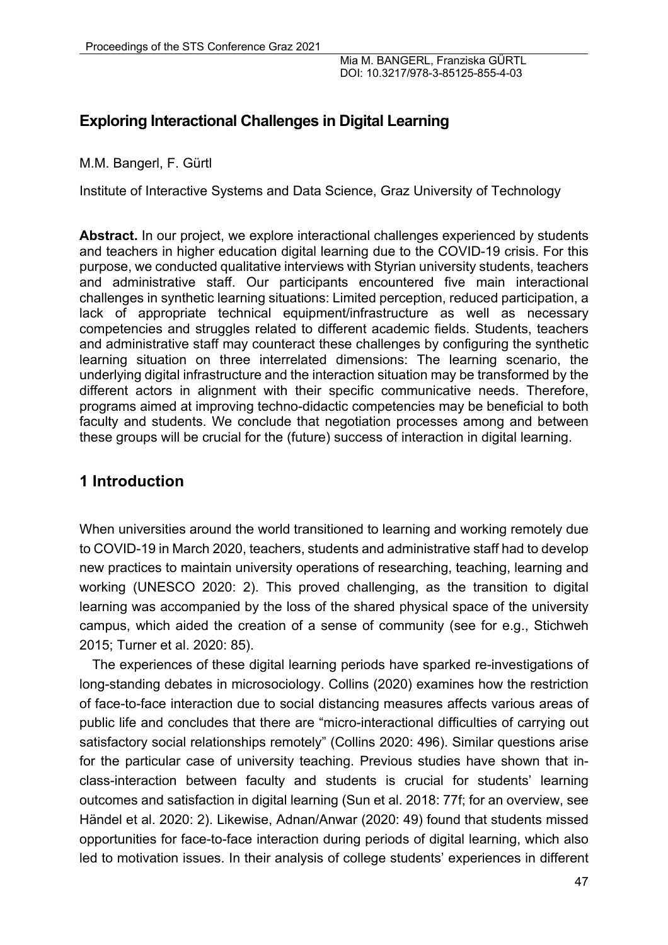# **Exploring Interactional Challenges in Digital Learning**

M.M. Bangerl, F. Gürtl

Institute of Interactive Systems and Data Science, Graz University of Technology

Abstract. In our project, we explore interactional challenges experienced by students and teachers in higher education digital learning due to the COVID-19 crisis. For this purpose, we conducted qualitative interviews with Styrian university students, teachers and administrative staff. Our participants encountered five main interactional challenges in synthetic learning situations: Limited perception, reduced participation, a lack of appropriate technical equipment/infrastructure as well as necessary competencies and struggles related to different academic fields. Students, teachers and administrative staff may counteract these challenges by configuring the synthetic learning situation on three interrelated dimensions: The learning scenario, the underlying digital infrastructure and the interaction situation may be transformed by the different actors in alignment with their specific communicative needs. Therefore, programs aimed at improving techno-didactic competencies may be beneficial to both faculty and students. We conclude that negotiation processes among and between these groups will be crucial for the (future) success of interaction in digital learning.

# **1 Introduction**

When universities around the world transitioned to learning and working remotely due to COVID-19 in March 2020, teachers, students and administrative staff had to develop new practices to maintain university operations of researching, teaching, learning and working (UNESCO 2020: 2). This proved challenging, as the transition to digital learning was accompanied by the loss of the shared physical space of the university campus, which aided the creation of a sense of community (see for e.g., Stichweh 2015; Turner et al. 2020: 85).

The experiences of these digital learning periods have sparked re-investigations of long-standing debates in microsociology. Collins (2020) examines how the restriction of face-to-face interaction due to social distancing measures affects various areas of public life and concludes that there are "micro-interactional difficulties of carrying out satisfactory social relationships remotely" (Collins 2020: 496). Similar questions arise for the particular case of university teaching. Previous studies have shown that inclass-interaction between faculty and students is crucial for students' learning outcomes and satisfaction in digital learning (Sun et al. 2018: 77f; for an overview, see Händel et al. 2020: 2). Likewise, Adnan/Anwar (2020: 49) found that students missed opportunities for face-to-face interaction during periods of digital learning, which also led to motivation issues. In their analysis of college students' experiences in different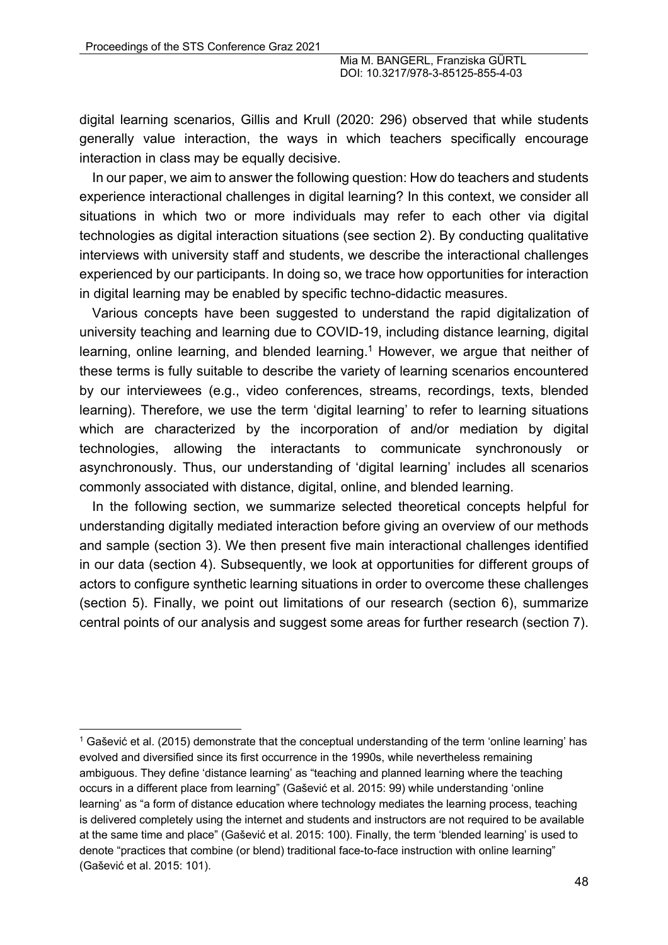digital learning scenarios, Gillis and Krull (2020: 296) observed that while students generally value interaction, the ways in which teachers specifically encourage interaction in class may be equally decisive.

In our paper, we aim to answer the following question: How do teachers and students experience interactional challenges in digital learning? In this context, we consider all situations in which two or more individuals may refer to each other via digital technologies as digital interaction situations (see section 2). By conducting qualitative interviews with university staff and students, we describe the interactional challenges experienced by our participants. In doing so, we trace how opportunities for interaction in digital learning may be enabled by specific techno-didactic measures.

Various concepts have been suggested to understand the rapid digitalization of university teaching and learning due to COVID-19, including distance learning, digital learning, online learning, and blended learning.<sup>1</sup> However, we argue that neither of these terms is fully suitable to describe the variety of learning scenarios encountered by our interviewees (e.g., video conferences, streams, recordings, texts, blended learning). Therefore, we use the term 'digital learning' to refer to learning situations which are characterized by the incorporation of and/or mediation by digital technologies, allowing the interactants to communicate synchronously or asynchronously. Thus, our understanding of 'digital learning' includes all scenarios commonly associated with distance, digital, online, and blended learning.

In the following section, we summarize selected theoretical concepts helpful for understanding digitally mediated interaction before giving an overview of our methods and sample (section 3). We then present five main interactional challenges identified in our data (section 4). Subsequently, we look at opportunities for different groups of actors to configure synthetic learning situations in order to overcome these challenges (section 5). Finally, we point out limitations of our research (section 6), summarize central points of our analysis and suggest some areas for further research (section 7).

 $1$  Gašević et al. (2015) demonstrate that the conceptual understanding of the term 'online learning' has evolved and diversified since its first occurrence in the 1990s, while nevertheless remaining ambiguous. They define 'distance learning' as "teaching and planned learning where the teaching occurs in a different place from learning" (Gašević et al. 2015: 99) while understanding 'online learning' as "a form of distance education where technology mediates the learning process, teaching is delivered completely using the internet and students and instructors are not required to be available at the same time and place" (Gašević et al. 2015: 100). Finally, the term 'blended learning' is used to denote "practices that combine (or blend) traditional face-to-face instruction with online learning" (Gašević et al. 2015: 101).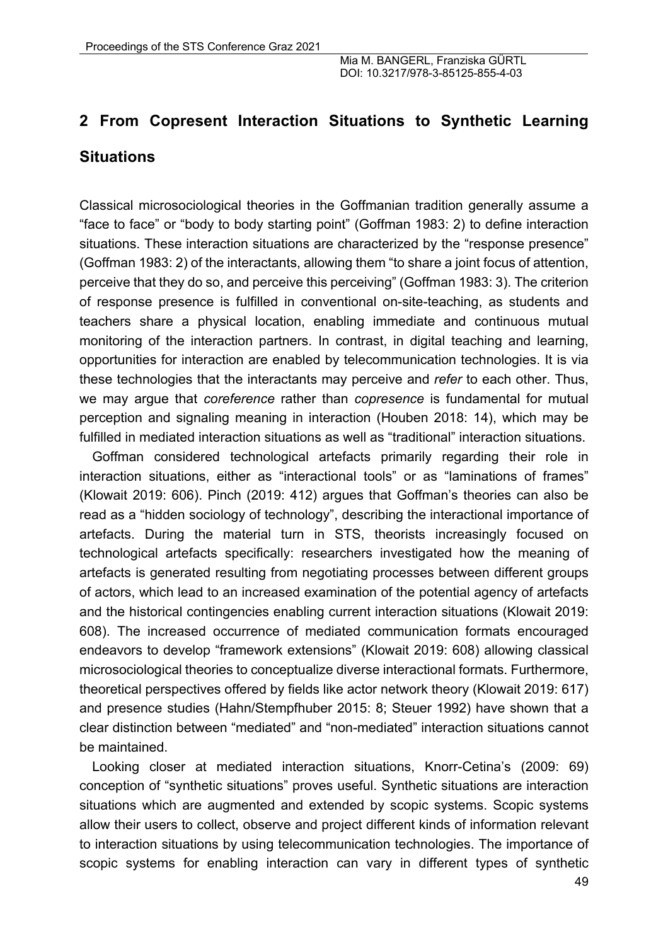# **2 From Copresent Interaction Situations to Synthetic Learning Situations**

Classical microsociological theories in the Goffmanian tradition generally assume a "face to face" or "body to body starting point" (Goffman 1983: 2) to define interaction situations. These interaction situations are characterized by the "response presence" (Goffman 1983: 2) of the interactants, allowing them "to share a joint focus of attention, perceive that they do so, and perceive this perceiving" (Goffman 1983: 3). The criterion of response presence is fulfilled in conventional on-site-teaching, as students and teachers share a physical location, enabling immediate and continuous mutual monitoring of the interaction partners. In contrast, in digital teaching and learning, opportunities for interaction are enabled by telecommunication technologies. It is via these technologies that the interactants may perceive and *refer* to each other. Thus, we may argue that *coreference* rather than *copresence* is fundamental for mutual perception and signaling meaning in interaction (Houben 2018: 14), which may be fulfilled in mediated interaction situations as well as "traditional" interaction situations.

Goffman considered technological artefacts primarily regarding their role in interaction situations, either as "interactional tools" or as "laminations of frames" (Klowait 2019: 606). Pinch (2019: 412) argues that Goffman's theories can also be read as a "hidden sociology of technology", describing the interactional importance of artefacts. During the material turn in STS, theorists increasingly focused on technological artefacts specifically: researchers investigated how the meaning of artefacts is generated resulting from negotiating processes between different groups of actors, which lead to an increased examination of the potential agency of artefacts and the historical contingencies enabling current interaction situations (Klowait 2019: 608). The increased occurrence of mediated communication formats encouraged endeavors to develop "framework extensions" (Klowait 2019: 608) allowing classical microsociological theories to conceptualize diverse interactional formats. Furthermore, theoretical perspectives offered by fields like actor network theory (Klowait 2019: 617) and presence studies (Hahn/Stempfhuber 2015: 8; Steuer 1992) have shown that a clear distinction between "mediated" and "non-mediated" interaction situations cannot be maintained.

Looking closer at mediated interaction situations, Knorr-Cetina's (2009: 69) conception of "synthetic situations" proves useful. Synthetic situations are interaction situations which are augmented and extended by scopic systems. Scopic systems allow their users to collect, observe and project different kinds of information relevant to interaction situations by using telecommunication technologies. The importance of scopic systems for enabling interaction can vary in different types of synthetic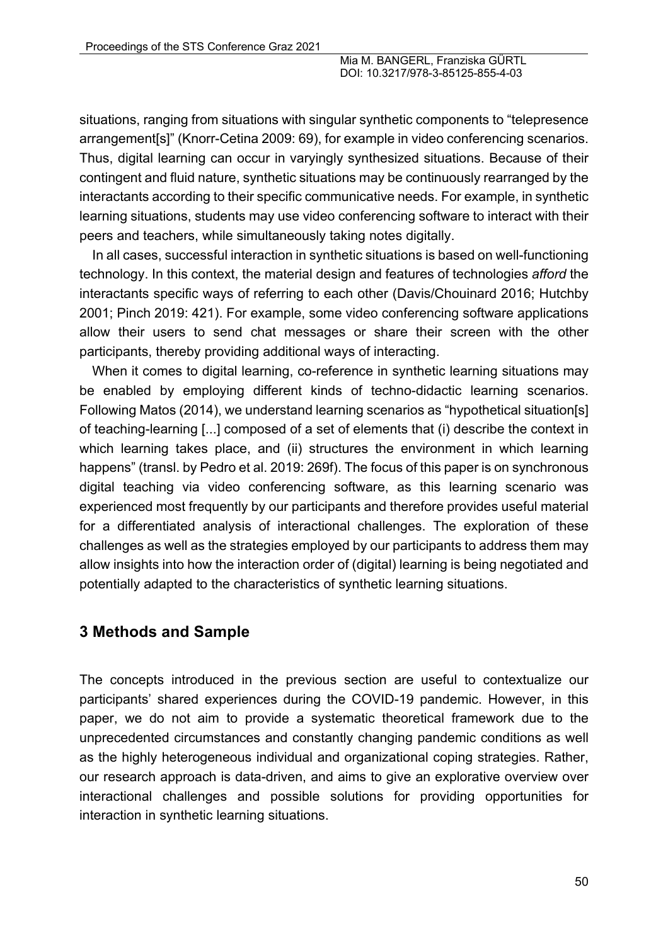situations, ranging from situations with singular synthetic components to "telepresence arrangement[s]" (Knorr-Cetina 2009: 69), for example in video conferencing scenarios. Thus, digital learning can occur in varyingly synthesized situations. Because of their contingent and fluid nature, synthetic situations may be continuously rearranged by the interactants according to their specific communicative needs. For example, in synthetic learning situations, students may use video conferencing software to interact with their peers and teachers, while simultaneously taking notes digitally.

In all cases, successful interaction in synthetic situations is based on well-functioning technology. In this context, the material design and features of technologies *afford* the interactants specific ways of referring to each other (Davis/Chouinard 2016; Hutchby 2001; Pinch 2019: 421). For example, some video conferencing software applications allow their users to send chat messages or share their screen with the other participants, thereby providing additional ways of interacting.

When it comes to digital learning, co-reference in synthetic learning situations may be enabled by employing different kinds of techno-didactic learning scenarios. Following Matos (2014), we understand learning scenarios as "hypothetical situation[s] of teaching-learning [...] composed of a set of elements that (i) describe the context in which learning takes place, and (ii) structures the environment in which learning happens" (transl. by Pedro et al. 2019: 269f). The focus of this paper is on synchronous digital teaching via video conferencing software, as this learning scenario was experienced most frequently by our participants and therefore provides useful material for a differentiated analysis of interactional challenges. The exploration of these challenges as well as the strategies employed by our participants to address them may allow insights into how the interaction order of (digital) learning is being negotiated and potentially adapted to the characteristics of synthetic learning situations.

## **3 Methods and Sample**

The concepts introduced in the previous section are useful to contextualize our participants' shared experiences during the COVID-19 pandemic. However, in this paper, we do not aim to provide a systematic theoretical framework due to the unprecedented circumstances and constantly changing pandemic conditions as well as the highly heterogeneous individual and organizational coping strategies. Rather, our research approach is data-driven, and aims to give an explorative overview over interactional challenges and possible solutions for providing opportunities for interaction in synthetic learning situations.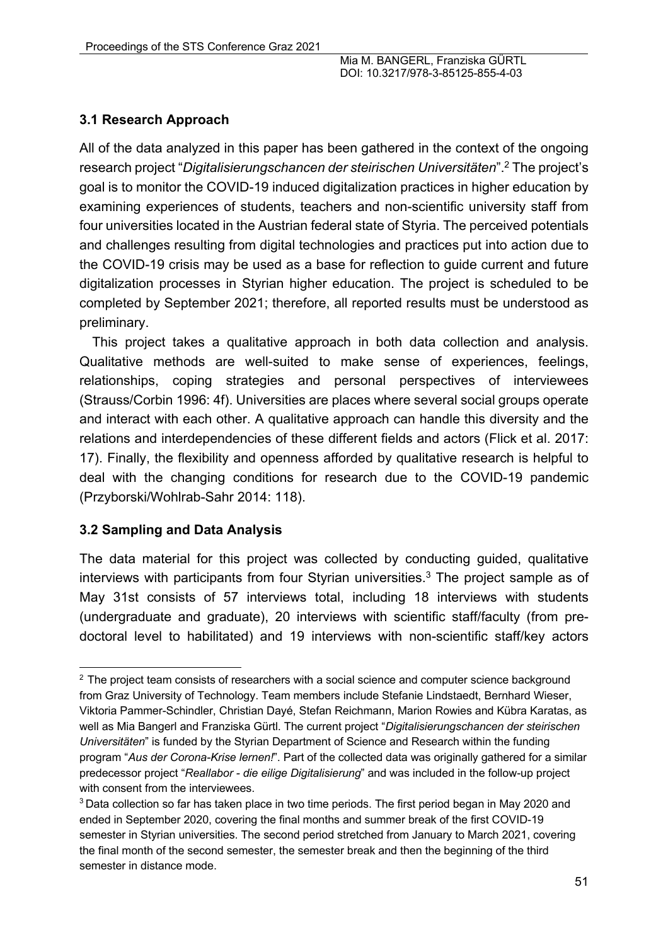## **3.1 Research Approach**

All of the data analyzed in this paper has been gathered in the context of the ongoing research project "*Digitalisierungschancen der steirischen Universitäten*".2 The project's goal is to monitor the COVID-19 induced digitalization practices in higher education by examining experiences of students, teachers and non-scientific university staff from four universities located in the Austrian federal state of Styria. The perceived potentials and challenges resulting from digital technologies and practices put into action due to the COVID-19 crisis may be used as a base for reflection to guide current and future digitalization processes in Styrian higher education. The project is scheduled to be completed by September 2021; therefore, all reported results must be understood as preliminary.

This project takes a qualitative approach in both data collection and analysis. Qualitative methods are well-suited to make sense of experiences, feelings, relationships, coping strategies and personal perspectives of interviewees (Strauss/Corbin 1996: 4f). Universities are places where several social groups operate and interact with each other. A qualitative approach can handle this diversity and the relations and interdependencies of these different fields and actors (Flick et al. 2017: 17). Finally, the flexibility and openness afforded by qualitative research is helpful to deal with the changing conditions for research due to the COVID-19 pandemic (Przyborski/Wohlrab-Sahr 2014: 118).

#### **3.2 Sampling and Data Analysis**

The data material for this project was collected by conducting guided, qualitative interviews with participants from four Styrian universities.<sup>3</sup> The project sample as of May 31st consists of 57 interviews total, including 18 interviews with students (undergraduate and graduate), 20 interviews with scientific staff/faculty (from predoctoral level to habilitated) and 19 interviews with non-scientific staff/key actors

<sup>&</sup>lt;sup>2</sup> The project team consists of researchers with a social science and computer science background from Graz University of Technology. Team members include Stefanie Lindstaedt, Bernhard Wieser, Viktoria Pammer-Schindler, Christian Dayé, Stefan Reichmann, Marion Rowies and Kübra Karatas, as well as Mia Bangerl and Franziska Gürtl. The current project "*Digitalisierungschancen der steirischen Universitäten*" is funded by the Styrian Department of Science and Research within the funding program "*Aus der Corona-Krise lernen!*". Part of the collected data was originally gathered for a similar predecessor project "*Reallabor - die eilige Digitalisierung*" and was included in the follow-up project with consent from the interviewees.

<sup>&</sup>lt;sup>3</sup> Data collection so far has taken place in two time periods. The first period began in May 2020 and ended in September 2020, covering the final months and summer break of the first COVID-19 semester in Styrian universities. The second period stretched from January to March 2021, covering the final month of the second semester, the semester break and then the beginning of the third semester in distance mode.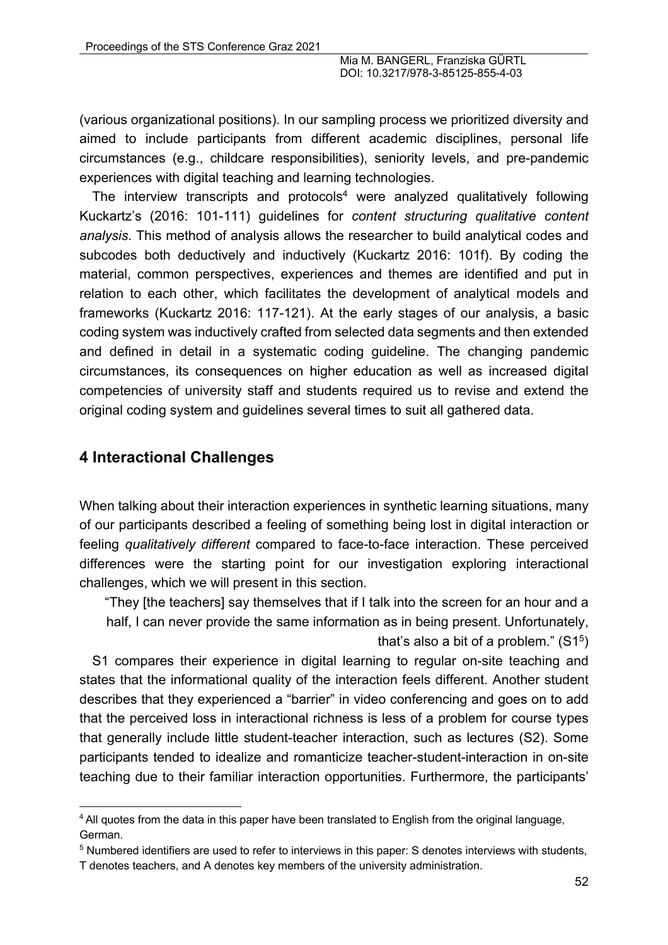(various organizational positions). In our sampling process we prioritized diversity and aimed to include participants from different academic disciplines, personal life circumstances (e.g., childcare responsibilities), seniority levels, and pre-pandemic experiences with digital teaching and learning technologies.

The interview transcripts and protocols<sup>4</sup> were analyzed qualitatively following Kuckartz's (2016: 101-111) guidelines for *content structuring qualitative content analysis*. This method of analysis allows the researcher to build analytical codes and subcodes both deductively and inductively (Kuckartz 2016: 101f). By coding the material, common perspectives, experiences and themes are identified and put in relation to each other, which facilitates the development of analytical models and frameworks (Kuckartz 2016: 117-121). At the early stages of our analysis, a basic coding system was inductively crafted from selected data segments and then extended and defined in detail in a systematic coding guideline. The changing pandemic circumstances, its consequences on higher education as well as increased digital competencies of university staff and students required us to revise and extend the original coding system and guidelines several times to suit all gathered data.

## **4 Interactional Challenges**

When talking about their interaction experiences in synthetic learning situations, many of our participants described a feeling of something being lost in digital interaction or feeling *qualitatively different* compared to face-to-face interaction. These perceived differences were the starting point for our investigation exploring interactional challenges, which we will present in this section.

"They [the teachers] say themselves that if I talk into the screen for an hour and a half, I can never provide the same information as in being present. Unfortunately, that's also a bit of a problem."  $(S1<sup>5</sup>)$ 

S1 compares their experience in digital learning to regular on-site teaching and states that the informational quality of the interaction feels different. Another student describes that they experienced a "barrier" in video conferencing and goes on to add that the perceived loss in interactional richness is less of a problem for course types that generally include little student-teacher interaction, such as lectures (S2). Some participants tended to idealize and romanticize teacher-student-interaction in on-site teaching due to their familiar interaction opportunities. Furthermore, the participants'

<sup>&</sup>lt;sup>4</sup> All quotes from the data in this paper have been translated to English from the original language, German.

<sup>5</sup> Numbered identifiers are used to refer to interviews in this paper: S denotes interviews with students, T denotes teachers, and A denotes key members of the university administration.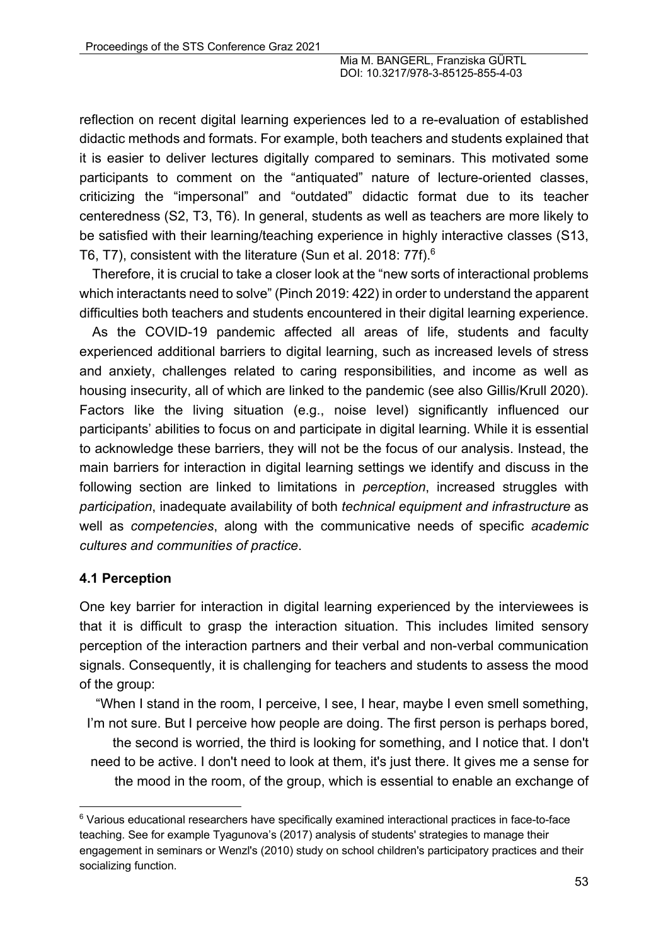reflection on recent digital learning experiences led to a re-evaluation of established didactic methods and formats. For example, both teachers and students explained that it is easier to deliver lectures digitally compared to seminars. This motivated some participants to comment on the "antiquated" nature of lecture-oriented classes, criticizing the "impersonal" and "outdated" didactic format due to its teacher centeredness (S2, T3, T6). In general, students as well as teachers are more likely to be satisfied with their learning/teaching experience in highly interactive classes (S13, T6, T7), consistent with the literature (Sun et al. 2018: 77f).6

Therefore, it is crucial to take a closer look at the "new sorts of interactional problems which interactants need to solve" (Pinch 2019: 422) in order to understand the apparent difficulties both teachers and students encountered in their digital learning experience.

As the COVID-19 pandemic affected all areas of life, students and faculty experienced additional barriers to digital learning, such as increased levels of stress and anxiety, challenges related to caring responsibilities, and income as well as housing insecurity, all of which are linked to the pandemic (see also Gillis/Krull 2020). Factors like the living situation (e.g., noise level) significantly influenced our participants' abilities to focus on and participate in digital learning. While it is essential to acknowledge these barriers, they will not be the focus of our analysis. Instead, the main barriers for interaction in digital learning settings we identify and discuss in the following section are linked to limitations in *perception*, increased struggles with *participation*, inadequate availability of both *technical equipment and infrastructure* as well as *competencies*, along with the communicative needs of specific *academic cultures and communities of practice*.

## **4.1 Perception**

One key barrier for interaction in digital learning experienced by the interviewees is that it is difficult to grasp the interaction situation. This includes limited sensory perception of the interaction partners and their verbal and non-verbal communication signals. Consequently, it is challenging for teachers and students to assess the mood of the group:

"When I stand in the room, I perceive, I see, I hear, maybe I even smell something, I'm not sure. But I perceive how people are doing. The first person is perhaps bored,

the second is worried, the third is looking for something, and I notice that. I don't need to be active. I don't need to look at them, it's just there. It gives me a sense for the mood in the room, of the group, which is essential to enable an exchange of

<sup>&</sup>lt;sup>6</sup> Various educational researchers have specifically examined interactional practices in face-to-face teaching. See for example Tyagunova's (2017) analysis of students' strategies to manage their engagement in seminars or Wenzl's (2010) study on school children's participatory practices and their socializing function.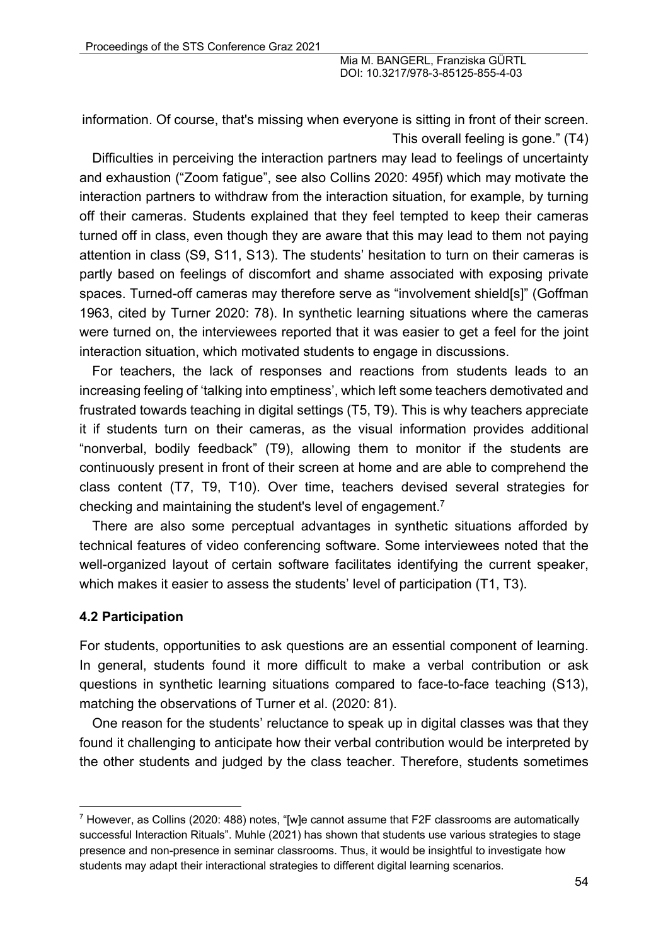information. Of course, that's missing when everyone is sitting in front of their screen. This overall feeling is gone." (T4)

Difficulties in perceiving the interaction partners may lead to feelings of uncertainty and exhaustion ("Zoom fatigue", see also Collins 2020: 495f) which may motivate the interaction partners to withdraw from the interaction situation, for example, by turning off their cameras. Students explained that they feel tempted to keep their cameras turned off in class, even though they are aware that this may lead to them not paying attention in class (S9, S11, S13). The students' hesitation to turn on their cameras is partly based on feelings of discomfort and shame associated with exposing private spaces. Turned-off cameras may therefore serve as "involvement shield[s]" (Goffman 1963, cited by Turner 2020: 78). In synthetic learning situations where the cameras were turned on, the interviewees reported that it was easier to get a feel for the joint interaction situation, which motivated students to engage in discussions.

For teachers, the lack of responses and reactions from students leads to an increasing feeling of 'talking into emptiness', which left some teachers demotivated and frustrated towards teaching in digital settings (T5, T9). This is why teachers appreciate it if students turn on their cameras, as the visual information provides additional "nonverbal, bodily feedback" (T9), allowing them to monitor if the students are continuously present in front of their screen at home and are able to comprehend the class content (T7, T9, T10). Over time, teachers devised several strategies for checking and maintaining the student's level of engagement.7

There are also some perceptual advantages in synthetic situations afforded by technical features of video conferencing software. Some interviewees noted that the well-organized layout of certain software facilitates identifying the current speaker, which makes it easier to assess the students' level of participation (T1, T3).

#### **4.2 Participation**

For students, opportunities to ask questions are an essential component of learning. In general, students found it more difficult to make a verbal contribution or ask questions in synthetic learning situations compared to face-to-face teaching (S13), matching the observations of Turner et al. (2020: 81).

One reason for the students' reluctance to speak up in digital classes was that they found it challenging to anticipate how their verbal contribution would be interpreted by the other students and judged by the class teacher. Therefore, students sometimes

 $7$  However, as Collins (2020: 488) notes, "[w]e cannot assume that F2F classrooms are automatically successful Interaction Rituals". Muhle (2021) has shown that students use various strategies to stage presence and non-presence in seminar classrooms. Thus, it would be insightful to investigate how students may adapt their interactional strategies to different digital learning scenarios.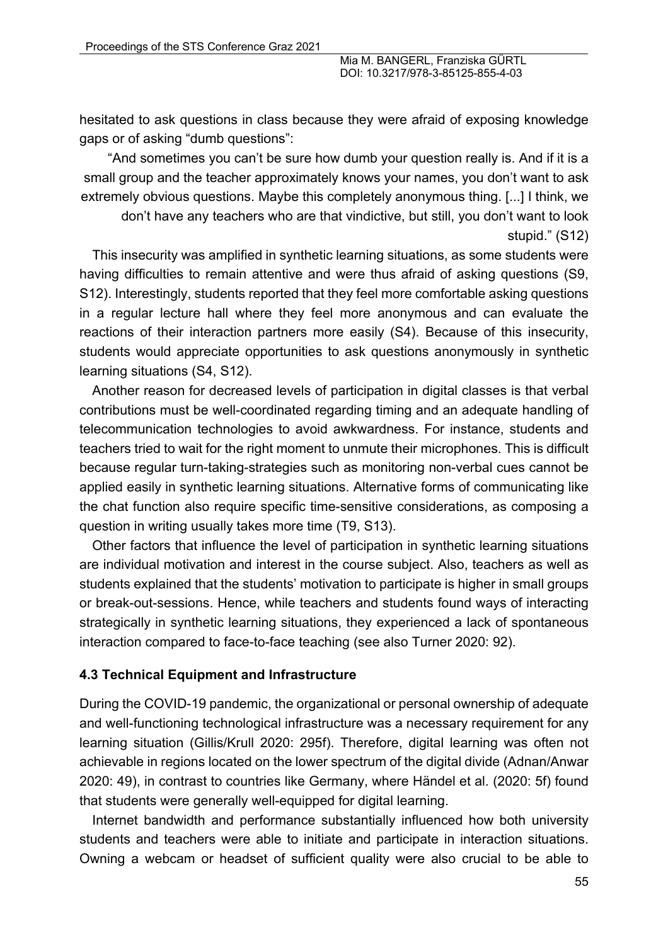hesitated to ask questions in class because they were afraid of exposing knowledge gaps or of asking "dumb questions":

"And sometimes you can't be sure how dumb your question really is. And if it is a small group and the teacher approximately knows your names, you don't want to ask extremely obvious questions. Maybe this completely anonymous thing. [...] I think, we

don't have any teachers who are that vindictive, but still, you don't want to look stupid." (S12)

This insecurity was amplified in synthetic learning situations, as some students were having difficulties to remain attentive and were thus afraid of asking questions (S9, S12). Interestingly, students reported that they feel more comfortable asking questions in a regular lecture hall where they feel more anonymous and can evaluate the reactions of their interaction partners more easily (S4). Because of this insecurity, students would appreciate opportunities to ask questions anonymously in synthetic learning situations (S4, S12).

Another reason for decreased levels of participation in digital classes is that verbal contributions must be well-coordinated regarding timing and an adequate handling of telecommunication technologies to avoid awkwardness. For instance, students and teachers tried to wait for the right moment to unmute their microphones. This is difficult because regular turn-taking-strategies such as monitoring non-verbal cues cannot be applied easily in synthetic learning situations. Alternative forms of communicating like the chat function also require specific time-sensitive considerations, as composing a question in writing usually takes more time (T9, S13).

Other factors that influence the level of participation in synthetic learning situations are individual motivation and interest in the course subject. Also, teachers as well as students explained that the students' motivation to participate is higher in small groups or break-out-sessions. Hence, while teachers and students found ways of interacting strategically in synthetic learning situations, they experienced a lack of spontaneous interaction compared to face-to-face teaching (see also Turner 2020: 92).

## **4.3 Technical Equipment and Infrastructure**

During the COVID-19 pandemic, the organizational or personal ownership of adequate and well-functioning technological infrastructure was a necessary requirement for any learning situation (Gillis/Krull 2020: 295f). Therefore, digital learning was often not achievable in regions located on the lower spectrum of the digital divide (Adnan/Anwar 2020: 49), in contrast to countries like Germany, where Händel et al. (2020: 5f) found that students were generally well-equipped for digital learning.

Internet bandwidth and performance substantially influenced how both university students and teachers were able to initiate and participate in interaction situations. Owning a webcam or headset of sufficient quality were also crucial to be able to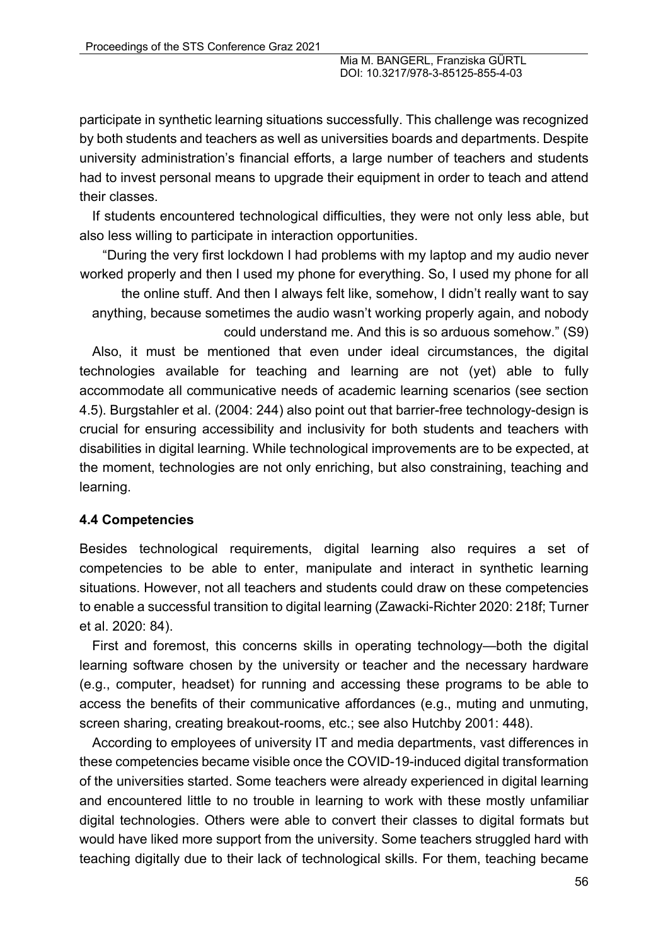participate in synthetic learning situations successfully. This challenge was recognized by both students and teachers as well as universities boards and departments. Despite university administration's financial efforts, a large number of teachers and students had to invest personal means to upgrade their equipment in order to teach and attend their classes.

If students encountered technological difficulties, they were not only less able, but also less willing to participate in interaction opportunities.

"During the very first lockdown I had problems with my laptop and my audio never worked properly and then I used my phone for everything. So, I used my phone for all

the online stuff. And then I always felt like, somehow, I didn't really want to say anything, because sometimes the audio wasn't working properly again, and nobody could understand me. And this is so arduous somehow." (S9)

Also, it must be mentioned that even under ideal circumstances, the digital technologies available for teaching and learning are not (yet) able to fully accommodate all communicative needs of academic learning scenarios (see section 4.5). Burgstahler et al. (2004: 244) also point out that barrier-free technology-design is crucial for ensuring accessibility and inclusivity for both students and teachers with disabilities in digital learning. While technological improvements are to be expected, at the moment, technologies are not only enriching, but also constraining, teaching and learning.

## **4.4 Competencies**

Besides technological requirements, digital learning also requires a set of competencies to be able to enter, manipulate and interact in synthetic learning situations. However, not all teachers and students could draw on these competencies to enable a successful transition to digital learning (Zawacki-Richter 2020: 218f; Turner et al. 2020: 84).

First and foremost, this concerns skills in operating technology—both the digital learning software chosen by the university or teacher and the necessary hardware (e.g., computer, headset) for running and accessing these programs to be able to access the benefits of their communicative affordances (e.g., muting and unmuting, screen sharing, creating breakout-rooms, etc.; see also Hutchby 2001: 448).

According to employees of university IT and media departments, vast differences in these competencies became visible once the COVID-19-induced digital transformation of the universities started. Some teachers were already experienced in digital learning and encountered little to no trouble in learning to work with these mostly unfamiliar digital technologies. Others were able to convert their classes to digital formats but would have liked more support from the university. Some teachers struggled hard with teaching digitally due to their lack of technological skills. For them, teaching became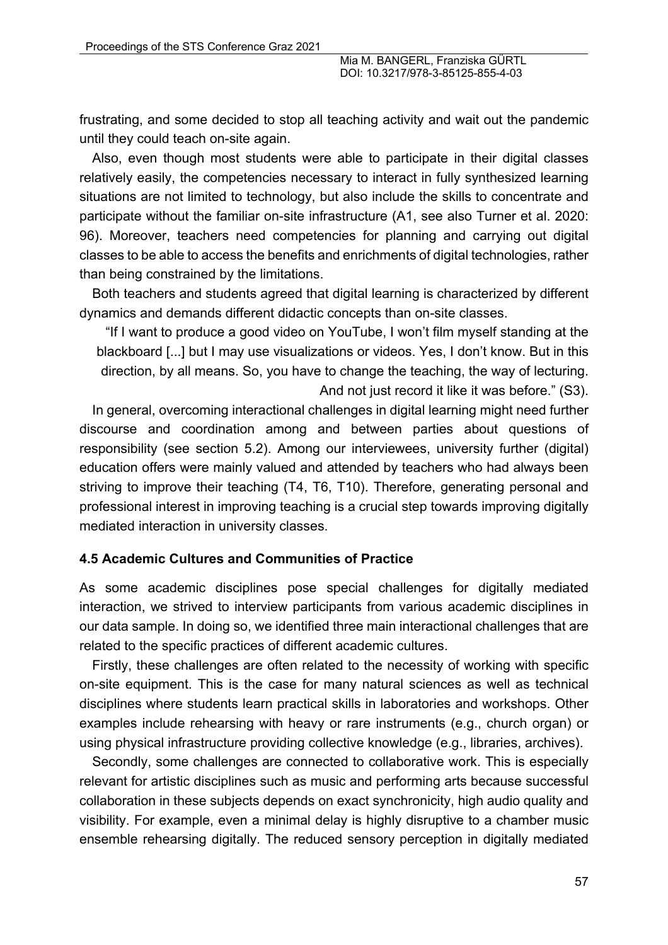frustrating, and some decided to stop all teaching activity and wait out the pandemic until they could teach on-site again.

Also, even though most students were able to participate in their digital classes relatively easily, the competencies necessary to interact in fully synthesized learning situations are not limited to technology, but also include the skills to concentrate and participate without the familiar on-site infrastructure (A1, see also Turner et al. 2020: 96). Moreover, teachers need competencies for planning and carrying out digital classes to be able to access the benefits and enrichments of digital technologies, rather than being constrained by the limitations.

Both teachers and students agreed that digital learning is characterized by different dynamics and demands different didactic concepts than on-site classes.

"If I want to produce a good video on YouTube, I won't film myself standing at the blackboard [...] but I may use visualizations or videos. Yes, I don't know. But in this direction, by all means. So, you have to change the teaching, the way of lecturing. And not just record it like it was before." (S3).

In general, overcoming interactional challenges in digital learning might need further discourse and coordination among and between parties about questions of responsibility (see section 5.2). Among our interviewees, university further (digital) education offers were mainly valued and attended by teachers who had always been striving to improve their teaching (T4, T6, T10). Therefore, generating personal and professional interest in improving teaching is a crucial step towards improving digitally mediated interaction in university classes.

#### **4.5 Academic Cultures and Communities of Practice**

As some academic disciplines pose special challenges for digitally mediated interaction, we strived to interview participants from various academic disciplines in our data sample. In doing so, we identified three main interactional challenges that are related to the specific practices of different academic cultures.

Firstly, these challenges are often related to the necessity of working with specific on-site equipment. This is the case for many natural sciences as well as technical disciplines where students learn practical skills in laboratories and workshops. Other examples include rehearsing with heavy or rare instruments (e.g., church organ) or using physical infrastructure providing collective knowledge (e.g., libraries, archives).

Secondly, some challenges are connected to collaborative work. This is especially relevant for artistic disciplines such as music and performing arts because successful collaboration in these subjects depends on exact synchronicity, high audio quality and visibility. For example, even a minimal delay is highly disruptive to a chamber music ensemble rehearsing digitally. The reduced sensory perception in digitally mediated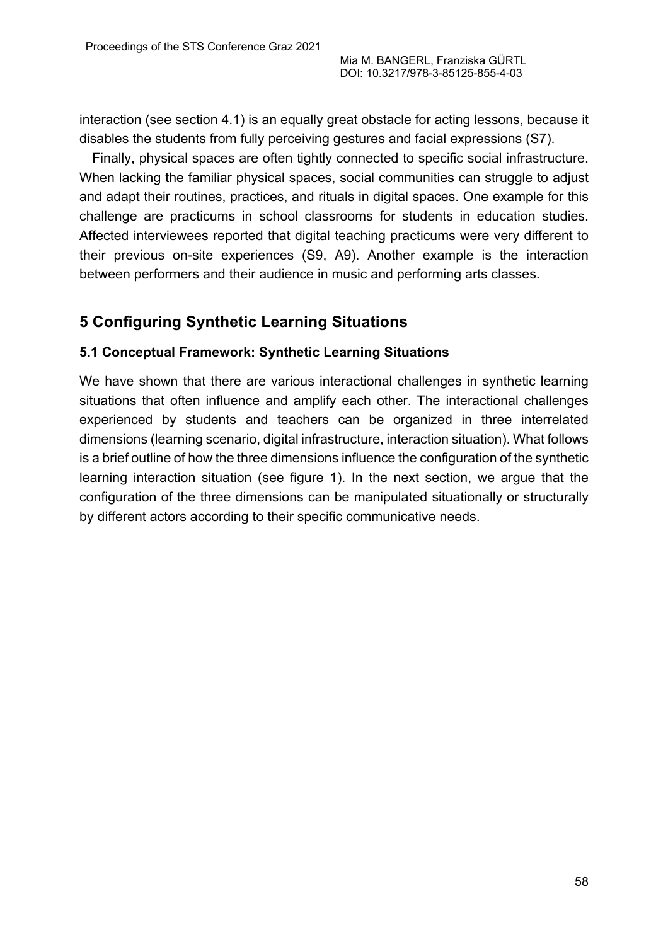interaction (see section 4.1) is an equally great obstacle for acting lessons, because it disables the students from fully perceiving gestures and facial expressions (S7).

Finally, physical spaces are often tightly connected to specific social infrastructure. When lacking the familiar physical spaces, social communities can struggle to adjust and adapt their routines, practices, and rituals in digital spaces. One example for this challenge are practicums in school classrooms for students in education studies. Affected interviewees reported that digital teaching practicums were very different to their previous on-site experiences (S9, A9). Another example is the interaction between performers and their audience in music and performing arts classes.

# **5 Configuring Synthetic Learning Situations**

## **5.1 Conceptual Framework: Synthetic Learning Situations**

We have shown that there are various interactional challenges in synthetic learning situations that often influence and amplify each other. The interactional challenges experienced by students and teachers can be organized in three interrelated dimensions (learning scenario, digital infrastructure, interaction situation). What follows is a brief outline of how the three dimensions influence the configuration of the synthetic learning interaction situation (see figure 1). In the next section, we argue that the configuration of the three dimensions can be manipulated situationally or structurally by different actors according to their specific communicative needs.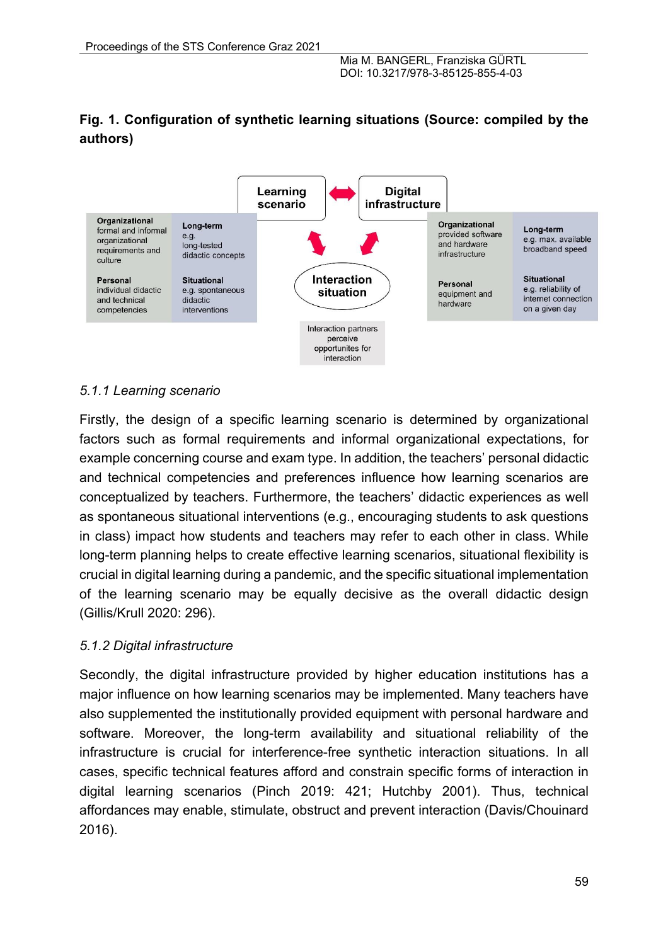# **Fig. 1. Configuration of synthetic learning situations (Source: compiled by the authors)**



## *5.1.1 Learning scenario*

Firstly, the design of a specific learning scenario is determined by organizational factors such as formal requirements and informal organizational expectations, for example concerning course and exam type. In addition, the teachers' personal didactic and technical competencies and preferences influence how learning scenarios are conceptualized by teachers. Furthermore, the teachers' didactic experiences as well as spontaneous situational interventions (e.g., encouraging students to ask questions in class) impact how students and teachers may refer to each other in class. While long-term planning helps to create effective learning scenarios, situational flexibility is crucial in digital learning during a pandemic, and the specific situational implementation of the learning scenario may be equally decisive as the overall didactic design (Gillis/Krull 2020: 296).

## *5.1.2 Digital infrastructure*

Secondly, the digital infrastructure provided by higher education institutions has a major influence on how learning scenarios may be implemented. Many teachers have also supplemented the institutionally provided equipment with personal hardware and software. Moreover, the long-term availability and situational reliability of the infrastructure is crucial for interference-free synthetic interaction situations. In all cases, specific technical features afford and constrain specific forms of interaction in digital learning scenarios (Pinch 2019: 421; Hutchby 2001). Thus, technical affordances may enable, stimulate, obstruct and prevent interaction (Davis/Chouinard 2016).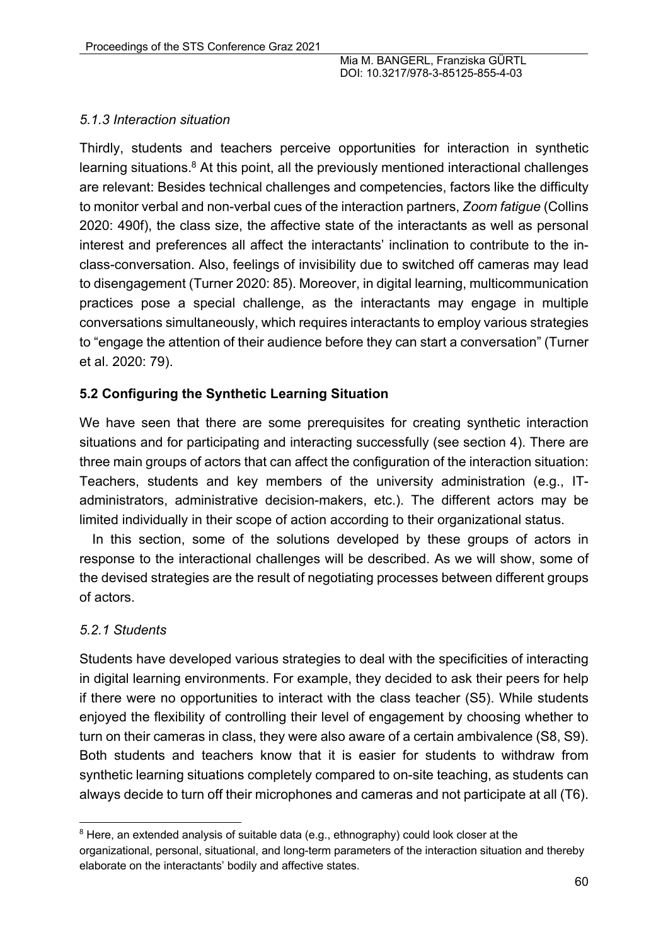#### *5.1.3 Interaction situation*

Thirdly, students and teachers perceive opportunities for interaction in synthetic learning situations. $8$  At this point, all the previously mentioned interactional challenges are relevant: Besides technical challenges and competencies, factors like the difficulty to monitor verbal and non-verbal cues of the interaction partners, *Zoom fatigue* (Collins 2020: 490f), the class size, the affective state of the interactants as well as personal interest and preferences all affect the interactants' inclination to contribute to the inclass-conversation. Also, feelings of invisibility due to switched off cameras may lead to disengagement (Turner 2020: 85). Moreover, in digital learning, multicommunication practices pose a special challenge, as the interactants may engage in multiple conversations simultaneously, which requires interactants to employ various strategies to "engage the attention of their audience before they can start a conversation" (Turner et al. 2020: 79).

#### **5.2 Configuring the Synthetic Learning Situation**

We have seen that there are some prerequisites for creating synthetic interaction situations and for participating and interacting successfully (see section 4). There are three main groups of actors that can affect the configuration of the interaction situation: Teachers, students and key members of the university administration (e.g., ITadministrators, administrative decision-makers, etc.). The different actors may be limited individually in their scope of action according to their organizational status.

In this section, some of the solutions developed by these groups of actors in response to the interactional challenges will be described. As we will show, some of the devised strategies are the result of negotiating processes between different groups of actors.

#### *5.2.1 Students*

Students have developed various strategies to deal with the specificities of interacting in digital learning environments. For example, they decided to ask their peers for help if there were no opportunities to interact with the class teacher (S5). While students enjoyed the flexibility of controlling their level of engagement by choosing whether to turn on their cameras in class, they were also aware of a certain ambivalence (S8, S9). Both students and teachers know that it is easier for students to withdraw from synthetic learning situations completely compared to on-site teaching, as students can always decide to turn off their microphones and cameras and not participate at all (T6).

 $8$  Here, an extended analysis of suitable data (e.g., ethnography) could look closer at the organizational, personal, situational, and long-term parameters of the interaction situation and thereby elaborate on the interactants' bodily and affective states.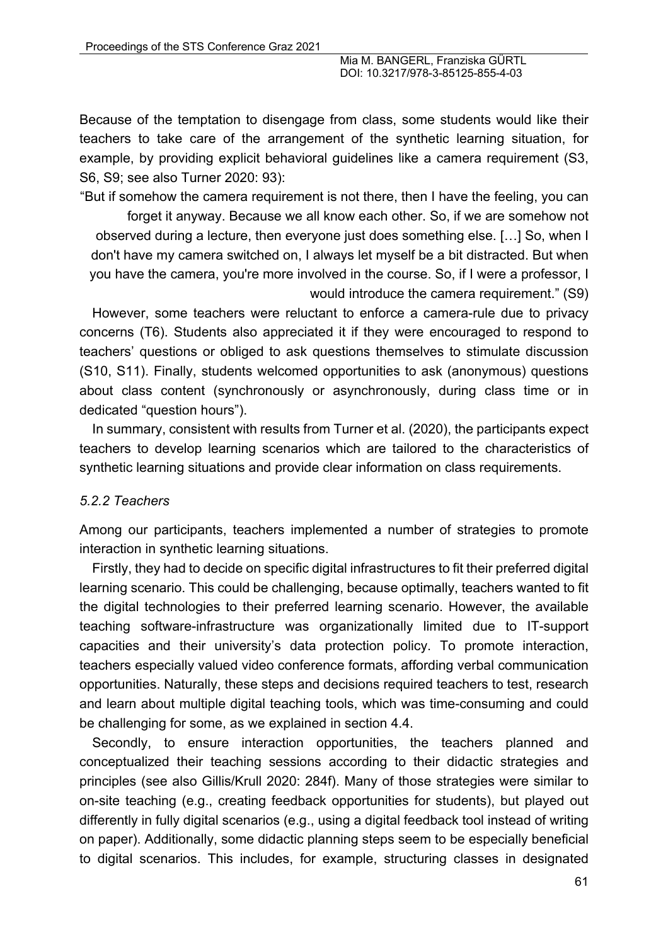Because of the temptation to disengage from class, some students would like their teachers to take care of the arrangement of the synthetic learning situation, for example, by providing explicit behavioral guidelines like a camera requirement (S3, S6, S9; see also Turner 2020: 93):

"But if somehow the camera requirement is not there, then I have the feeling, you can

forget it anyway. Because we all know each other. So, if we are somehow not observed during a lecture, then everyone just does something else. […] So, when I don't have my camera switched on, I always let myself be a bit distracted. But when you have the camera, you're more involved in the course. So, if I were a professor, I would introduce the camera requirement." (S9)

However, some teachers were reluctant to enforce a camera-rule due to privacy concerns (T6). Students also appreciated it if they were encouraged to respond to teachers' questions or obliged to ask questions themselves to stimulate discussion (S10, S11). Finally, students welcomed opportunities to ask (anonymous) questions about class content (synchronously or asynchronously, during class time or in dedicated "question hours").

In summary, consistent with results from Turner et al. (2020), the participants expect teachers to develop learning scenarios which are tailored to the characteristics of synthetic learning situations and provide clear information on class requirements.

#### *5.2.2 Teachers*

Among our participants, teachers implemented a number of strategies to promote interaction in synthetic learning situations.

Firstly, they had to decide on specific digital infrastructures to fit their preferred digital learning scenario. This could be challenging, because optimally, teachers wanted to fit the digital technologies to their preferred learning scenario. However, the available teaching software-infrastructure was organizationally limited due to IT-support capacities and their university's data protection policy. To promote interaction, teachers especially valued video conference formats, affording verbal communication opportunities. Naturally, these steps and decisions required teachers to test, research and learn about multiple digital teaching tools, which was time-consuming and could be challenging for some, as we explained in section 4.4.

Secondly, to ensure interaction opportunities, the teachers planned and conceptualized their teaching sessions according to their didactic strategies and principles (see also Gillis/Krull 2020: 284f). Many of those strategies were similar to on-site teaching (e.g., creating feedback opportunities for students), but played out differently in fully digital scenarios (e.g., using a digital feedback tool instead of writing on paper). Additionally, some didactic planning steps seem to be especially beneficial to digital scenarios. This includes, for example, structuring classes in designated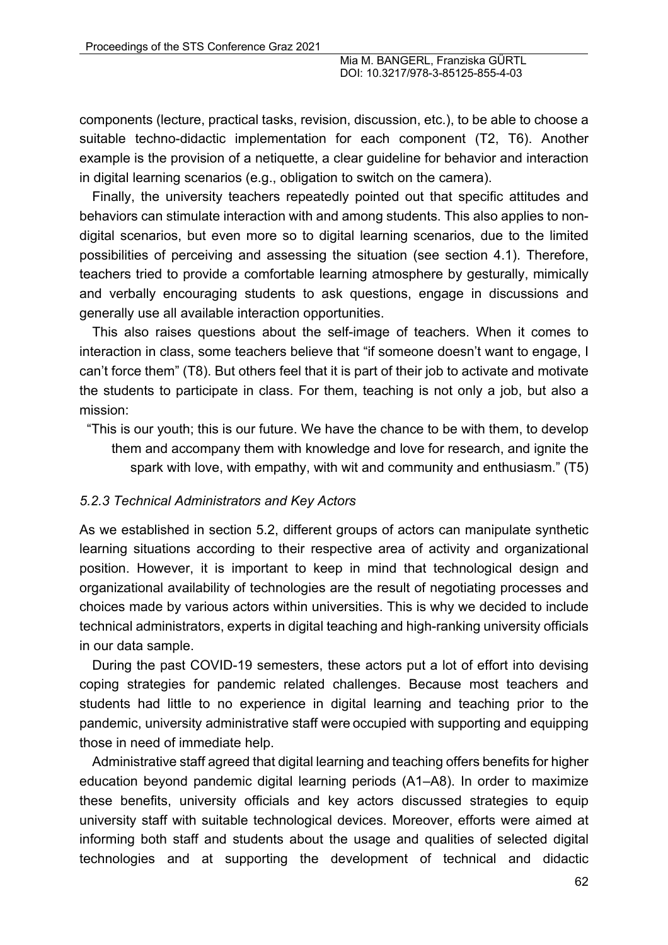components (lecture, practical tasks, revision, discussion, etc.), to be able to choose a suitable techno-didactic implementation for each component (T2, T6). Another example is the provision of a netiquette, a clear guideline for behavior and interaction in digital learning scenarios (e.g., obligation to switch on the camera).

Finally, the university teachers repeatedly pointed out that specific attitudes and behaviors can stimulate interaction with and among students. This also applies to nondigital scenarios, but even more so to digital learning scenarios, due to the limited possibilities of perceiving and assessing the situation (see section 4.1). Therefore, teachers tried to provide a comfortable learning atmosphere by gesturally, mimically and verbally encouraging students to ask questions, engage in discussions and generally use all available interaction opportunities.

This also raises questions about the self-image of teachers. When it comes to interaction in class, some teachers believe that "if someone doesn't want to engage, I can't force them" (T8). But others feel that it is part of their job to activate and motivate the students to participate in class. For them, teaching is not only a job, but also a mission:

"This is our youth; this is our future. We have the chance to be with them, to develop them and accompany them with knowledge and love for research, and ignite the spark with love, with empathy, with wit and community and enthusiasm." (T5)

## *5.2.3 Technical Administrators and Key Actors*

As we established in section 5.2, different groups of actors can manipulate synthetic learning situations according to their respective area of activity and organizational position. However, it is important to keep in mind that technological design and organizational availability of technologies are the result of negotiating processes and choices made by various actors within universities. This is why we decided to include technical administrators, experts in digital teaching and high-ranking university officials in our data sample.

During the past COVID-19 semesters, these actors put a lot of effort into devising coping strategies for pandemic related challenges. Because most teachers and students had little to no experience in digital learning and teaching prior to the pandemic, university administrative staff were occupied with supporting and equipping those in need of immediate help.

Administrative staff agreed that digital learning and teaching offers benefits for higher education beyond pandemic digital learning periods (A1–A8). In order to maximize these benefits, university officials and key actors discussed strategies to equip university staff with suitable technological devices. Moreover, efforts were aimed at informing both staff and students about the usage and qualities of selected digital technologies and at supporting the development of technical and didactic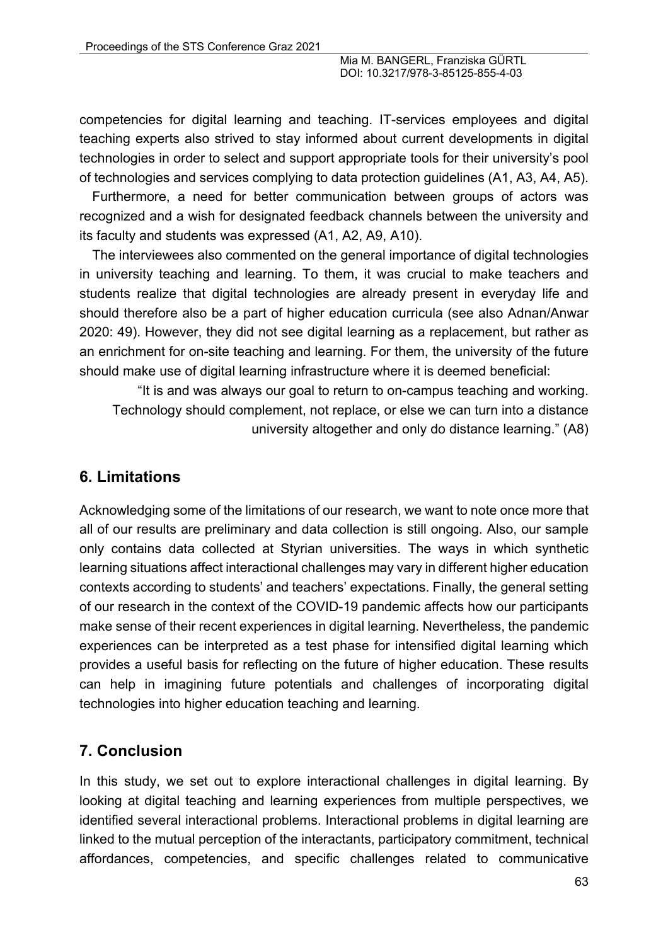competencies for digital learning and teaching. IT-services employees and digital teaching experts also strived to stay informed about current developments in digital technologies in order to select and support appropriate tools for their university's pool of technologies and services complying to data protection guidelines (A1, A3, A4, A5).

Furthermore, a need for better communication between groups of actors was recognized and a wish for designated feedback channels between the university and its faculty and students was expressed (A1, A2, A9, A10).

The interviewees also commented on the general importance of digital technologies in university teaching and learning. To them, it was crucial to make teachers and students realize that digital technologies are already present in everyday life and should therefore also be a part of higher education curricula (see also Adnan/Anwar 2020: 49). However, they did not see digital learning as a replacement, but rather as an enrichment for on-site teaching and learning. For them, the university of the future should make use of digital learning infrastructure where it is deemed beneficial:

"It is and was always our goal to return to on-campus teaching and working. Technology should complement, not replace, or else we can turn into a distance university altogether and only do distance learning." (A8)

# **6. Limitations**

Acknowledging some of the limitations of our research, we want to note once more that all of our results are preliminary and data collection is still ongoing. Also, our sample only contains data collected at Styrian universities. The ways in which synthetic learning situations affect interactional challenges may vary in different higher education contexts according to students' and teachers' expectations. Finally, the general setting of our research in the context of the COVID-19 pandemic affects how our participants make sense of their recent experiences in digital learning. Nevertheless, the pandemic experiences can be interpreted as a test phase for intensified digital learning which provides a useful basis for reflecting on the future of higher education. These results can help in imagining future potentials and challenges of incorporating digital technologies into higher education teaching and learning.

# **7. Conclusion**

In this study, we set out to explore interactional challenges in digital learning. By looking at digital teaching and learning experiences from multiple perspectives, we identified several interactional problems. Interactional problems in digital learning are linked to the mutual perception of the interactants, participatory commitment, technical affordances, competencies, and specific challenges related to communicative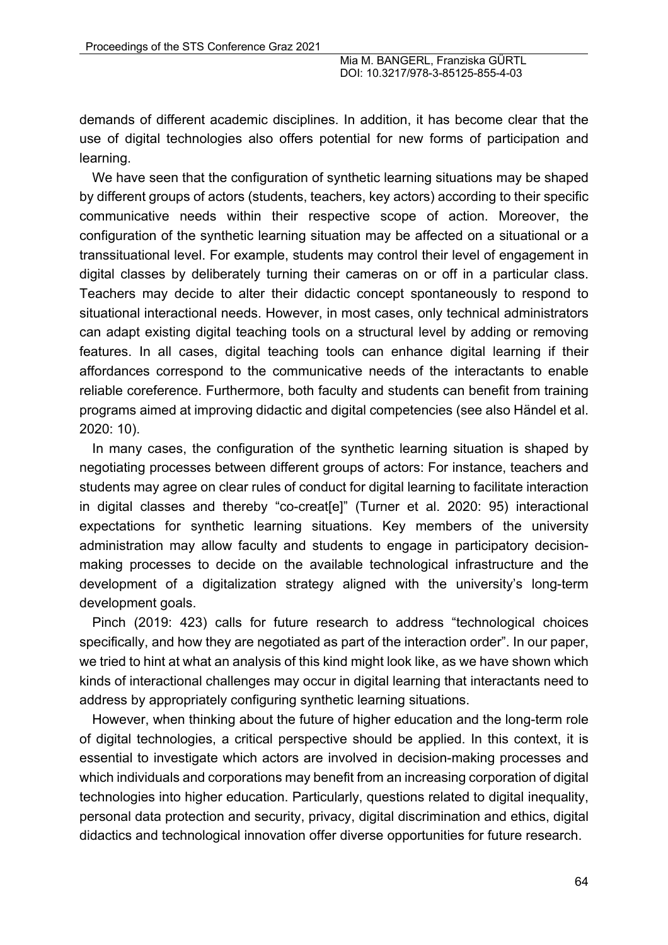demands of different academic disciplines. In addition, it has become clear that the use of digital technologies also offers potential for new forms of participation and learning.

We have seen that the configuration of synthetic learning situations may be shaped by different groups of actors (students, teachers, key actors) according to their specific communicative needs within their respective scope of action. Moreover, the configuration of the synthetic learning situation may be affected on a situational or a transsituational level. For example, students may control their level of engagement in digital classes by deliberately turning their cameras on or off in a particular class. Teachers may decide to alter their didactic concept spontaneously to respond to situational interactional needs. However, in most cases, only technical administrators can adapt existing digital teaching tools on a structural level by adding or removing features. In all cases, digital teaching tools can enhance digital learning if their affordances correspond to the communicative needs of the interactants to enable reliable coreference. Furthermore, both faculty and students can benefit from training programs aimed at improving didactic and digital competencies (see also Händel et al. 2020: 10).

In many cases, the configuration of the synthetic learning situation is shaped by negotiating processes between different groups of actors: For instance, teachers and students may agree on clear rules of conduct for digital learning to facilitate interaction in digital classes and thereby "co-creat[e]" (Turner et al. 2020: 95) interactional expectations for synthetic learning situations. Key members of the university administration may allow faculty and students to engage in participatory decisionmaking processes to decide on the available technological infrastructure and the development of a digitalization strategy aligned with the university's long-term development goals.

Pinch (2019: 423) calls for future research to address "technological choices specifically, and how they are negotiated as part of the interaction order". In our paper, we tried to hint at what an analysis of this kind might look like, as we have shown which kinds of interactional challenges may occur in digital learning that interactants need to address by appropriately configuring synthetic learning situations.

However, when thinking about the future of higher education and the long-term role of digital technologies, a critical perspective should be applied. In this context, it is essential to investigate which actors are involved in decision-making processes and which individuals and corporations may benefit from an increasing corporation of digital technologies into higher education. Particularly, questions related to digital inequality, personal data protection and security, privacy, digital discrimination and ethics, digital didactics and technological innovation offer diverse opportunities for future research.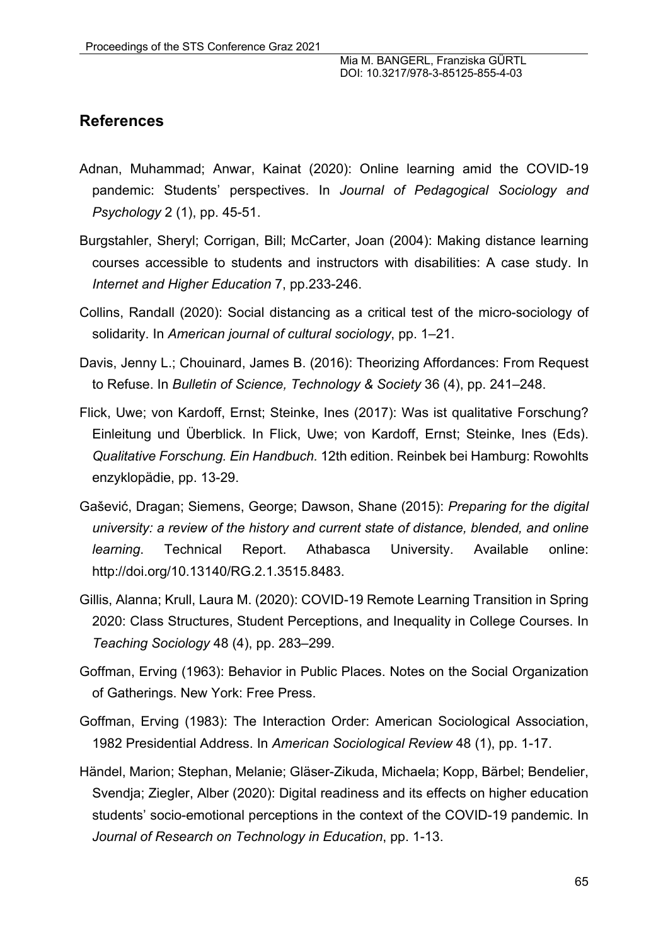## **References**

- Adnan, Muhammad; Anwar, Kainat (2020): Online learning amid the COVID-19 pandemic: Students' perspectives. In *Journal of Pedagogical Sociology and Psychology* 2 (1), pp. 45-51.
- Burgstahler, Sheryl; Corrigan, Bill; McCarter, Joan (2004): Making distance learning courses accessible to students and instructors with disabilities: A case study. In *Internet and Higher Education* 7, pp.233-246.
- Collins, Randall (2020): Social distancing as a critical test of the micro-sociology of solidarity. In *American journal of cultural sociology*, pp. 1–21.
- Davis, Jenny L.; Chouinard, James B. (2016): Theorizing Affordances: From Request to Refuse. In *Bulletin of Science, Technology & Society* 36 (4), pp. 241–248.
- Flick, Uwe; von Kardoff, Ernst; Steinke, Ines (2017): Was ist qualitative Forschung? Einleitung und Überblick. In Flick, Uwe; von Kardoff, Ernst; Steinke, Ines (Eds). *Qualitative Forschung. Ein Handbuch.* 12th edition. Reinbek bei Hamburg: Rowohlts enzyklopädie, pp. 13-29.
- Gašević, Dragan; Siemens, George; Dawson, Shane (2015): *Preparing for the digital university: a review of the history and current state of distance, blended, and online learning*. Technical Report. Athabasca University. Available online: http://doi.org/10.13140/RG.2.1.3515.8483.
- Gillis, Alanna; Krull, Laura M. (2020): COVID-19 Remote Learning Transition in Spring 2020: Class Structures, Student Perceptions, and Inequality in College Courses. In *Teaching Sociology* 48 (4), pp. 283–299.
- Goffman, Erving (1963): Behavior in Public Places. Notes on the Social Organization of Gatherings. New York: Free Press.
- Goffman, Erving (1983): The Interaction Order: American Sociological Association, 1982 Presidential Address. In *American Sociological Review* 48 (1), pp. 1-17.
- Händel, Marion; Stephan, Melanie; Gläser-Zikuda, Michaela; Kopp, Bärbel; Bendelier, Svendja; Ziegler, Alber (2020): Digital readiness and its effects on higher education students' socio-emotional perceptions in the context of the COVID-19 pandemic. In *Journal of Research on Technology in Education*, pp. 1-13.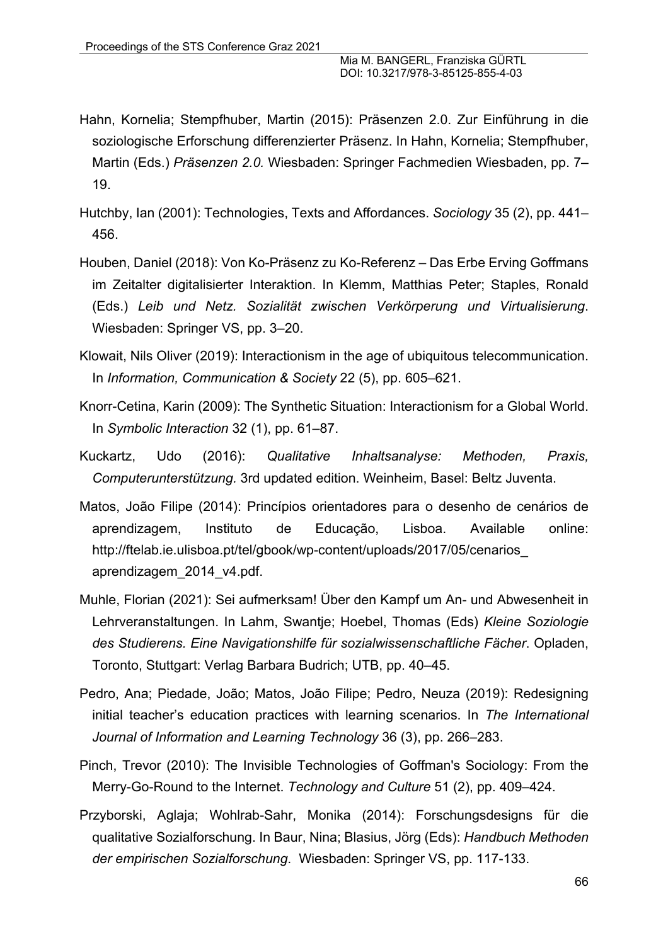- Hahn, Kornelia; Stempfhuber, Martin (2015): Präsenzen 2.0. Zur Einführung in die soziologische Erforschung differenzierter Präsenz. In Hahn, Kornelia; Stempfhuber, Martin (Eds.) *Präsenzen 2.0.* Wiesbaden: Springer Fachmedien Wiesbaden, pp. 7– 19.
- Hutchby, Ian (2001): Technologies, Texts and Affordances. *Sociology* 35 (2), pp. 441– 456.
- Houben, Daniel (2018): Von Ko-Präsenz zu Ko-Referenz Das Erbe Erving Goffmans im Zeitalter digitalisierter Interaktion. In Klemm, Matthias Peter; Staples, Ronald (Eds.) *Leib und Netz. Sozialität zwischen Verkörperung und Virtualisierung*. Wiesbaden: Springer VS, pp. 3–20.
- Klowait, Nils Oliver (2019): Interactionism in the age of ubiquitous telecommunication. In *Information, Communication & Society* 22 (5), pp. 605–621.
- Knorr-Cetina, Karin (2009): The Synthetic Situation: Interactionism for a Global World. In *Symbolic Interaction* 32 (1), pp. 61–87.
- Kuckartz, Udo (2016): *Qualitative Inhaltsanalyse: Methoden, Praxis, Computerunterstützung.* 3rd updated edition. Weinheim, Basel: Beltz Juventa.
- Matos, João Filipe (2014): Princípios orientadores para o desenho de cenários de aprendizagem, Instituto de Educação, Lisboa. Available online: http://ftelab.ie.ulisboa.pt/tel/gbook/wp-content/uploads/2017/05/cenarios\_ aprendizagem\_2014\_v4.pdf.
- Muhle, Florian (2021): Sei aufmerksam! Über den Kampf um An- und Abwesenheit in Lehrveranstaltungen. In Lahm, Swantje; Hoebel, Thomas (Eds) *Kleine Soziologie des Studierens. Eine Navigationshilfe für sozialwissenschaftliche Fächer*. Opladen, Toronto, Stuttgart: Verlag Barbara Budrich; UTB, pp. 40–45.
- Pedro, Ana; Piedade, João; Matos, João Filipe; Pedro, Neuza (2019): Redesigning initial teacher's education practices with learning scenarios. In *The International Journal of Information and Learning Technology* 36 (3), pp. 266–283.
- Pinch, Trevor (2010): The Invisible Technologies of Goffman's Sociology: From the Merry-Go-Round to the Internet. *Technology and Culture* 51 (2), pp. 409–424.
- Przyborski, Aglaja; Wohlrab-Sahr, Monika (2014): Forschungsdesigns für die qualitative Sozialforschung. In Baur, Nina; Blasius, Jörg (Eds): *Handbuch Methoden der empirischen Sozialforschung*. Wiesbaden: Springer VS, pp. 117-133.